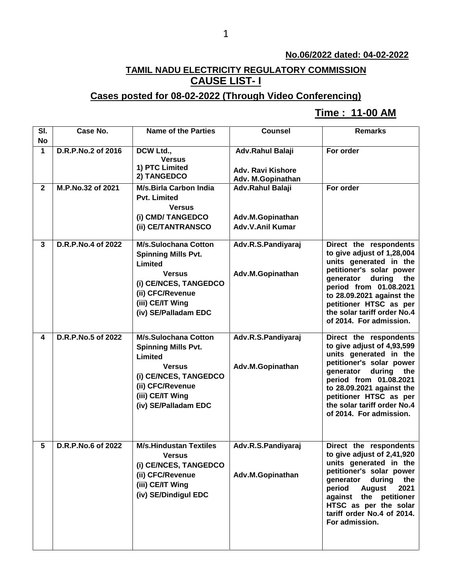#### **No.06/2022 dated: 04-02-2022**

## **TAMIL NADU ELECTRICITY REGULATORY COMMISSION CAUSE LIST- I**

## **Cases posted for 08-02-2022 (Through Video Conferencing)**

## **Time : 11-00 AM[**

| SI.<br><b>No</b> | Case No.           | <b>Name of the Parties</b>                                                                                                                                                     | <b>Counsel</b>                                           | <b>Remarks</b>                                                                                                                                                                                                                                                                   |
|------------------|--------------------|--------------------------------------------------------------------------------------------------------------------------------------------------------------------------------|----------------------------------------------------------|----------------------------------------------------------------------------------------------------------------------------------------------------------------------------------------------------------------------------------------------------------------------------------|
| 1                | D.R.P.No.2 of 2016 | DCW Ltd.,<br><b>Versus</b>                                                                                                                                                     | Adv.Rahul Balaji                                         | For order                                                                                                                                                                                                                                                                        |
|                  |                    | 1) PTC Limited<br>2) TANGEDCO                                                                                                                                                  | <b>Adv. Ravi Kishore</b><br>Adv. M.Gopinathan            |                                                                                                                                                                                                                                                                                  |
| $\mathbf{2}$     | M.P.No.32 of 2021  | <b>M/s.Birla Carbon India</b><br><b>Pvt. Limited</b><br><b>Versus</b><br>(i) CMD/ TANGEDCO<br>(ii) CE/TANTRANSCO                                                               | Adv.Rahul Balaji<br>Adv.M.Gopinathan<br>Adv.V.Anil Kumar | For order                                                                                                                                                                                                                                                                        |
| 3                | D.R.P.No.4 of 2022 | <b>M/s.Sulochana Cotton</b><br><b>Spinning Mills Pvt.</b><br>Limited<br><b>Versus</b><br>(i) CE/NCES, TANGEDCO<br>(ii) CFC/Revenue<br>(iii) CE/IT Wing<br>(iv) SE/Palladam EDC | Adv.R.S.Pandiyaraj<br>Adv.M.Gopinathan                   | Direct the respondents<br>to give adjust of 1,28,004<br>units generated in the<br>petitioner's solar power<br>generator<br>during the<br>period from 01.08.2021<br>to 28.09.2021 against the<br>petitioner HTSC as per<br>the solar tariff order No.4<br>of 2014. For admission. |
| 4                | D.R.P.No.5 of 2022 | <b>M/s.Sulochana Cotton</b><br><b>Spinning Mills Pvt.</b><br>Limited<br><b>Versus</b><br>(i) CE/NCES, TANGEDCO<br>(ii) CFC/Revenue<br>(iii) CE/IT Wing<br>(iv) SE/Palladam EDC | Adv.R.S.Pandiyaraj<br>Adv.M.Gopinathan                   | Direct the respondents<br>to give adjust of 4,93,599<br>units generated in the<br>petitioner's solar power<br>generator during the<br>period from 01.08.2021<br>to 28.09.2021 against the<br>petitioner HTSC as per<br>the solar tariff order No.4<br>of 2014. For admission.    |
| 5                | D.R.P.No.6 of 2022 | <b>M/s.Hindustan Textiles</b><br><b>Versus</b><br>(i) CE/NCES, TANGEDCO<br>(ii) CFC/Revenue<br>(iii) CE/IT Wing<br>(iv) SE/Dindigul EDC                                        | Adv.R.S.Pandiyaraj<br>Adv.M.Gopinathan                   | Direct the respondents<br>to give adjust of 2,41,920<br>units generated in the<br>petitioner's solar power<br>during<br>generator<br>the<br>period<br><b>August</b><br>2021<br>against the petitioner<br>HTSC as per the solar<br>tariff order No.4 of 2014.<br>For admission.   |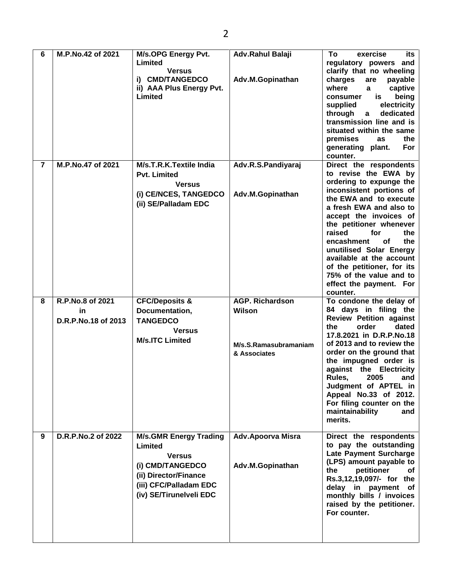| 6              | M.P.No.42 of 2021                             | M/s.OPG Energy Pvt.<br>Limited<br><b>Versus</b><br>i) CMD/TANGEDCO<br>ii) AAA Plus Energy Pvt.<br>Limited        | Adv.Rahul Balaji<br>Adv.M.Gopinathan                                      | To<br>its<br>exercise<br>regulatory powers and<br>clarify that no wheeling<br>charges<br>are<br>payable<br>where<br>captive<br>a<br>is<br>being<br>consumer<br>electricity<br>supplied<br>through<br>dedicated<br>$\mathbf{a}$<br>transmission line and is<br>situated within the same<br>premises<br>the<br>as<br>generating plant.<br><b>For</b><br>counter.                                                            |
|----------------|-----------------------------------------------|------------------------------------------------------------------------------------------------------------------|---------------------------------------------------------------------------|---------------------------------------------------------------------------------------------------------------------------------------------------------------------------------------------------------------------------------------------------------------------------------------------------------------------------------------------------------------------------------------------------------------------------|
| $\overline{7}$ | M.P.No.47 of 2021                             | M/s.T.R.K.Textile India<br><b>Pvt. Limited</b><br><b>Versus</b><br>(i) CE/NCES, TANGEDCO<br>(ii) SE/Palladam EDC | Adv.R.S.Pandiyaraj<br>Adv.M.Gopinathan                                    | Direct the respondents<br>to revise the EWA by<br>ordering to expunge the<br>inconsistent portions of<br>the EWA and to execute<br>a fresh EWA and also to<br>accept the invoices of<br>the petitioner whenever<br>raised<br>for<br>the<br>encashment<br>οf<br>the<br>unutilised Solar Energy<br>available at the account<br>of the petitioner, for its<br>75% of the value and to<br>effect the payment. For<br>counter. |
| 8              | R.P.No.8 of 2021<br>in<br>D.R.P.No.18 of 2013 | <b>CFC/Deposits &amp;</b><br>Documentation,<br><b>TANGEDCO</b><br><b>Versus</b><br><b>M/s.ITC Limited</b>        | <b>AGP. Richardson</b><br>Wilson<br>M/s.S.Ramasubramaniam<br>& Associates | To condone the delay of<br>84 days in filing the<br><b>Review Petition against</b><br>order<br>dated<br>the<br>17.8.2021 in D.R.P.No.18<br>of 2013 and to review the<br>order on the ground that<br>the impugned order is<br>against the Electricity<br>2005<br>Rules,<br>and<br>Judgment of APTEL in<br>Appeal No.33 of 2012.<br>For filing counter on the<br>maintainability<br>and                                     |
|                |                                               |                                                                                                                  |                                                                           | merits.                                                                                                                                                                                                                                                                                                                                                                                                                   |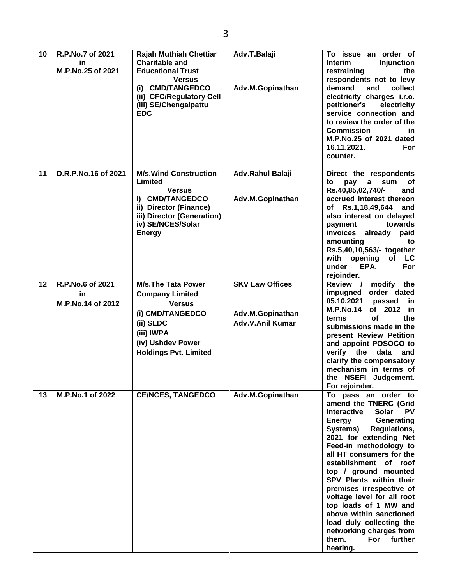| 10 | R.P.No.7 of 2021<br>in<br>M.P.No.25 of 2021 | <b>Rajah Muthiah Chettiar</b><br><b>Charitable and</b><br><b>Educational Trust</b><br><b>Versus</b><br>(i) CMD/TANGEDCO<br>(ii) CFC/Regulatory Cell<br>(iii) SE/Chengalpattu<br><b>EDC</b> | Adv.T.Balaji<br>Adv.M.Gopinathan                               | To issue an order of<br><b>Interim</b><br><b>Injunction</b><br>restraining<br>the<br>respondents not to levy<br>demand<br>and<br>collect<br>electricity charges i.r.o.<br>petitioner's<br>electricity<br>service connection and<br>to review the order of the<br><b>Commission</b><br>in.<br>M.P.No.25 of 2021 dated<br>16.11.2021.<br>For<br>counter.                                                                                                                                                                                    |
|----|---------------------------------------------|--------------------------------------------------------------------------------------------------------------------------------------------------------------------------------------------|----------------------------------------------------------------|-------------------------------------------------------------------------------------------------------------------------------------------------------------------------------------------------------------------------------------------------------------------------------------------------------------------------------------------------------------------------------------------------------------------------------------------------------------------------------------------------------------------------------------------|
| 11 | D.R.P.No.16 of 2021                         | <b>M/s.Wind Construction</b><br>Limited<br><b>Versus</b><br>i) CMD/TANGEDCO<br>ii) Director (Finance)<br>iii) Director (Generation)<br>iv) SE/NCES/Solar<br><b>Energy</b>                  | Adv.Rahul Balaji<br>Adv.M.Gopinathan                           | Direct the respondents<br>pay<br>sum<br>οf<br>to<br>a<br>Rs.40,85,02,740/-<br>and<br>accrued interest thereon<br>of Rs.1,18,49,644 and<br>also interest on delayed<br>payment<br>towards<br>invoices<br>already<br>paid<br>amounting<br>to<br>Rs.5,40,10,563/- together<br>opening<br>with<br>of<br>LC<br><b>For</b><br>under<br>EPA.<br>rejoinder.                                                                                                                                                                                       |
| 12 | R.P.No.6 of 2021<br>in<br>M.P.No.14 of 2012 | <b>M/s.The Tata Power</b><br><b>Company Limited</b><br><b>Versus</b><br>(i) CMD/TANGEDCO<br>(ii) SLDC<br>(iii) IWPA<br>(iv) Ushdev Power<br><b>Holdings Pvt. Limited</b>                   | <b>SKV Law Offices</b><br>Adv.M.Gopinathan<br>Adv.V.Anil Kumar | Review /<br>modify<br>the<br>order dated<br>impugned<br>05.10.2021<br>passed<br>in.<br><b>M.P.No.14</b><br>of 2012<br>in<br>οf<br>the<br>terms<br>submissions made in the<br>present Review Petition<br>and appoint POSOCO to<br>verify the data<br>and<br>clarify the compensatory<br>mechanism in terms of<br>the NSEFI Judgement.<br>For rejoinder.                                                                                                                                                                                    |
| 13 | M.P.No.1 of 2022                            | <b>CE/NCES, TANGEDCO</b>                                                                                                                                                                   | Adv.M.Gopinathan                                               | To pass an order to<br>amend the TNERC (Grid<br><b>Interactive</b><br><b>Solar</b><br><b>PV</b><br>Generating<br><b>Energy</b><br>Systems)<br><b>Regulations,</b><br>2021 for extending Net<br>Feed-in methodology to<br>all HT consumers for the<br>establishment of roof<br>top / ground mounted<br>SPV Plants within their<br>premises irrespective of<br>voltage level for all root<br>top loads of 1 MW and<br>above within sanctioned<br>load duly collecting the<br>networking charges from<br>further<br>For<br>them.<br>hearing. |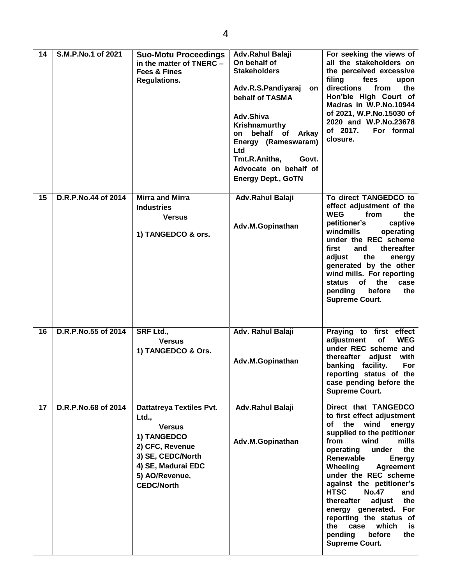| 14 | S.M.P.No.1 of 2021  | <b>Suo-Motu Proceedings</b><br>in the matter of TNERC -<br><b>Fees &amp; Fines</b><br><b>Regulations.</b>                                                                     | Adv.Rahul Balaji<br>On behalf of<br><b>Stakeholders</b><br>Adv.R.S.Pandiyaraj<br>on<br>behalf of TASMA<br>Adv.Shiva<br>Krishnamurthy<br>behalf of<br><b>Arkay</b><br>on<br>Energy (Rameswaram)<br>Ltd<br>Tmt.R.Anitha,<br>Govt.<br>Advocate on behalf of<br><b>Energy Dept., GoTN</b> | For seeking the views of<br>all the stakeholders on<br>the perceived excessive<br>filing<br>fees<br>upon<br>directions<br>from<br>the<br>Hon'ble High Court of<br>Madras in W.P.No.10944<br>of 2021, W.P.No.15030 of<br>2020 and W.P.No.23678<br>of 2017.<br>For formal<br>closure.                                                                                                                                                                                                              |
|----|---------------------|-------------------------------------------------------------------------------------------------------------------------------------------------------------------------------|---------------------------------------------------------------------------------------------------------------------------------------------------------------------------------------------------------------------------------------------------------------------------------------|--------------------------------------------------------------------------------------------------------------------------------------------------------------------------------------------------------------------------------------------------------------------------------------------------------------------------------------------------------------------------------------------------------------------------------------------------------------------------------------------------|
| 15 | D.R.P.No.44 of 2014 | <b>Mirra and Mirra</b><br><b>Industries</b><br><b>Versus</b><br>1) TANGEDCO & ors.                                                                                            | Adv.Rahul Balaji<br>Adv.M.Gopinathan                                                                                                                                                                                                                                                  | To direct TANGEDCO to<br>effect adjustment of the<br><b>WEG</b><br>from<br>the<br>petitioner's<br>captive<br>windmills<br>operating<br>under the REC scheme<br>first<br>thereafter<br>and<br>adjust<br>the<br>energy<br>generated by the other<br>wind mills. For reporting<br><b>of</b><br>the<br>case<br>status<br>pending<br>before<br>the<br><b>Supreme Court.</b>                                                                                                                           |
| 16 | D.R.P.No.55 of 2014 | <b>SRF Ltd.,</b><br><b>Versus</b><br>1) TANGEDCO & Ors.                                                                                                                       | Adv. Rahul Balaji<br>Adv.M.Gopinathan                                                                                                                                                                                                                                                 | Praying to first effect<br>of<br>adjustment<br><b>WEG</b><br>under REC scheme and<br>thereafter<br>adjust<br>with<br>banking facility.<br><b>For</b><br>reporting status of the<br>case pending before the<br><b>Supreme Court.</b>                                                                                                                                                                                                                                                              |
| 17 | D.R.P.No.68 of 2014 | <b>Dattatreya Textiles Pvt.</b><br>Ltd.,<br><b>Versus</b><br>1) TANGEDCO<br>2) CFC, Revenue<br>3) SE, CEDC/North<br>4) SE, Madurai EDC<br>5) AO/Revenue,<br><b>CEDC/North</b> | Adv.Rahul Balaji<br>Adv.M.Gopinathan                                                                                                                                                                                                                                                  | Direct that TANGEDCO<br>to first effect adjustment<br>of the wind<br>energy<br>supplied to the petitioner<br>from<br>wind<br>mills<br>operating<br>under<br>the<br>Renewable<br><b>Energy</b><br>Wheeling<br><b>Agreement</b><br>under the REC scheme<br>against the petitioner's<br><b>HTSC</b><br><b>No.47</b><br>and<br>thereafter<br>adjust<br>the<br>energy generated.<br>For<br>reporting the status of<br>which<br>the<br>case<br>is<br>pending<br>before<br>the<br><b>Supreme Court.</b> |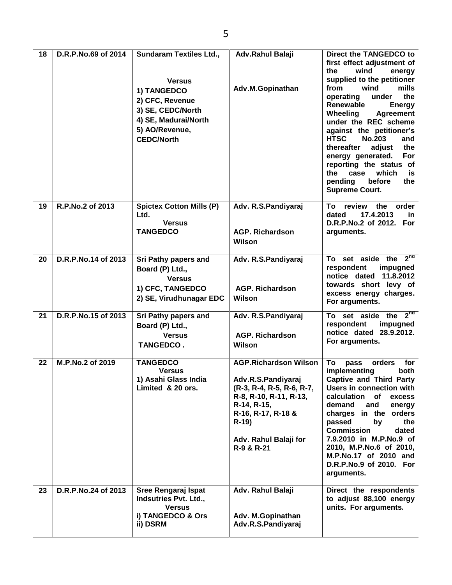| 18 | D.R.P.No.69 of 2014 | <b>Sundaram Textiles Ltd.,</b><br><b>Versus</b><br>1) TANGEDCO<br>2) CFC, Revenue<br>3) SE, CEDC/North<br>4) SE, Madurai/North<br>5) AO/Revenue,<br><b>CEDC/North</b> | Adv.Rahul Balaji<br>Adv.M.Gopinathan                                                                                                                                                            | Direct the TANGEDCO to<br>first effect adjustment of<br>the<br>wind<br>energy<br>supplied to the petitioner<br>from<br>wind<br>mills<br>under<br>the<br>operating<br>Renewable<br><b>Energy</b><br>Wheeling<br><b>Agreement</b><br>under the REC scheme<br>against the petitioner's<br><b>HTSC</b><br><b>No.203</b><br>and<br>thereafter<br>adjust<br>the<br>energy generated.<br>For<br>reporting the status of<br>which<br>the<br>case<br>is<br>pending<br>before<br>the<br><b>Supreme Court.</b> |
|----|---------------------|-----------------------------------------------------------------------------------------------------------------------------------------------------------------------|-------------------------------------------------------------------------------------------------------------------------------------------------------------------------------------------------|-----------------------------------------------------------------------------------------------------------------------------------------------------------------------------------------------------------------------------------------------------------------------------------------------------------------------------------------------------------------------------------------------------------------------------------------------------------------------------------------------------|
| 19 | R.P.No.2 of 2013    | <b>Spictex Cotton Mills (P)</b><br>Ltd.<br><b>Versus</b><br><b>TANGEDCO</b>                                                                                           | Adv. R.S.Pandiyaraj<br><b>AGP. Richardson</b><br>Wilson                                                                                                                                         | To<br>review<br>the<br>order<br>17.4.2013<br>dated<br>in.<br>D.R.P.No.2 of 2012. For<br>arguments.                                                                                                                                                                                                                                                                                                                                                                                                  |
| 20 | D.R.P.No.14 of 2013 | Sri Pathy papers and<br>Board (P) Ltd.,<br><b>Versus</b><br>1) CFC, TANGEDCO<br>2) SE, Virudhunagar EDC                                                               | Adv. R.S.Pandiyaraj<br><b>AGP. Richardson</b><br>Wilson                                                                                                                                         | To set aside the $2^{nd}$<br>respondent<br>impugned<br>11.8.2012<br>notice dated<br>towards short levy of<br>excess energy charges.<br>For arguments.                                                                                                                                                                                                                                                                                                                                               |
| 21 | D.R.P.No.15 of 2013 | Sri Pathy papers and<br>Board (P) Ltd.,<br><b>Versus</b><br><b>TANGEDCO.</b>                                                                                          | Adv. R.S.Pandiyaraj<br><b>AGP. Richardson</b><br>Wilson                                                                                                                                         | To set aside the $2^{nd}$<br>respondent<br>impugned<br>notice dated 28.9.2012.<br>For arguments.                                                                                                                                                                                                                                                                                                                                                                                                    |
| 22 | M.P.No.2 of 2019    | <b>TANGEDCO</b><br><b>Versus</b><br>1) Asahi Glass India<br>Limited & 20 ors.                                                                                         | <b>AGP.Richardson Wilson</b><br>Adv.R.S.Pandiyaraj<br>(R-3, R-4, R-5, R-6, R-7,<br>R-8, R-10, R-11, R-13,<br>R-14, R-15,<br>R-16, R-17, R-18 &<br>$R-19$<br>Adv. Rahul Balaji for<br>R-9 & R-21 | To<br>pass<br>orders<br>for<br>implementing<br>both<br><b>Captive and Third Party</b><br>Users in connection with<br>calculation of<br>excess<br>demand<br>and<br>energy<br>charges in the<br>orders<br>passed<br>by<br>the<br><b>Commission</b><br>dated<br>7.9.2010 in M.P.No.9 of<br>2010, M.P.No.6 of 2010,<br>M.P.No.17 of 2010 and<br>D.R.P.No.9 of 2010. For<br>arguments.                                                                                                                   |
| 23 | D.R.P.No.24 of 2013 | Sree Rengaraj Ispat<br>Indsutries Pvt. Ltd.,<br><b>Versus</b><br>i) TANGEDCO & Ors<br>ii) DSRM                                                                        | Adv. Rahul Balaji<br>Adv. M.Gopinathan<br>Adv.R.S.Pandiyaraj                                                                                                                                    | Direct the respondents<br>to adjust 88,100 energy<br>units. For arguments.                                                                                                                                                                                                                                                                                                                                                                                                                          |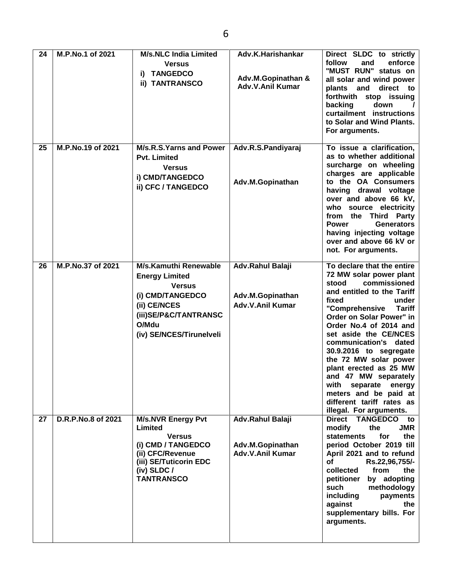| 24 | M.P.No.1 of 2021   | <b>M/s.NLC India Limited</b><br><b>Versus</b><br><b>TANGEDCO</b><br>i)<br>ii) TANTRANSCO                                                                          | Adv.K.Harishankar<br>Adv.M.Gopinathan &<br><b>Adv.V.Anil Kumar</b> | Direct SLDC to strictly<br>follow<br>and<br>enforce<br>"MUST RUN" status on<br>all solar and wind power<br>direct<br>plants<br>and<br>to<br>forthwith stop issuing<br>down<br>backing<br>$\prime$<br>curtailment instructions<br>to Solar and Wind Plants.<br>For arguments.                                                                                                                                                                                                                  |
|----|--------------------|-------------------------------------------------------------------------------------------------------------------------------------------------------------------|--------------------------------------------------------------------|-----------------------------------------------------------------------------------------------------------------------------------------------------------------------------------------------------------------------------------------------------------------------------------------------------------------------------------------------------------------------------------------------------------------------------------------------------------------------------------------------|
| 25 | M.P.No.19 of 2021  | M/s.R.S.Yarns and Power<br><b>Pvt. Limited</b><br><b>Versus</b><br>i) CMD/TANGEDCO<br>ii) CFC / TANGEDCO                                                          | Adv.R.S.Pandiyaraj<br>Adv.M.Gopinathan                             | To issue a clarification,<br>as to whether additional<br>surcharge on wheeling<br>charges are applicable<br>to the OA Consumers<br>having drawal voltage<br>over and above 66 kV,<br>who source electricity<br>from the Third Party<br><b>Power</b><br><b>Generators</b><br>having injecting voltage<br>over and above 66 kV or<br>not. For arguments.                                                                                                                                        |
| 26 | M.P.No.37 of 2021  | M/s.Kamuthi Renewable<br><b>Energy Limited</b><br><b>Versus</b><br>(i) CMD/TANGEDCO<br>(ii) CE/NCES<br>(iii)SE/P&C/TANTRANSC<br>O/Mdu<br>(iv) SE/NCES/Tirunelveli | Adv.Rahul Balaji<br>Adv.M.Gopinathan<br><b>Adv.V.Anil Kumar</b>    | To declare that the entire<br>72 MW solar power plant<br>commissioned<br>stood<br>and entitled to the Tariff<br>under<br>fixed<br>"Comprehensive<br><b>Tariff</b><br>Order on Solar Power" in<br>Order No.4 of 2014 and<br>set aside the CE/NCES<br>communication's dated<br>30.9.2016 to segregate<br>the 72 MW solar power<br>plant erected as 25 MW<br>and 47 MW separately<br>with<br>separate<br>energy<br>meters and be paid at<br>different tariff rates as<br>illegal. For arguments. |
| 27 | D.R.P.No.8 of 2021 | <b>M/s.NVR Energy Pvt</b><br>Limited<br><b>Versus</b><br>(i) CMD / TANGEDCO<br>(ii) CFC/Revenue<br>(iii) SE/Tuticorin EDC<br>(iv) $SLDC/$<br><b>TANTRANSCO</b>    | Adv.Rahul Balaji<br>Adv.M.Gopinathan<br><b>Adv.V.Anil Kumar</b>    | <b>TANGEDCO</b><br><b>Direct</b><br>to<br>modify<br>the<br><b>JMR</b><br><b>statements</b><br>the<br>for<br>period October 2019 till<br>April 2021 and to refund<br><b>of</b><br>Rs.22,96,755/-<br>collected<br>from<br>the<br>petitioner<br>by adopting<br>such<br>methodology<br>including<br>payments<br>against<br>the<br>supplementary bills. For<br>arguments.                                                                                                                          |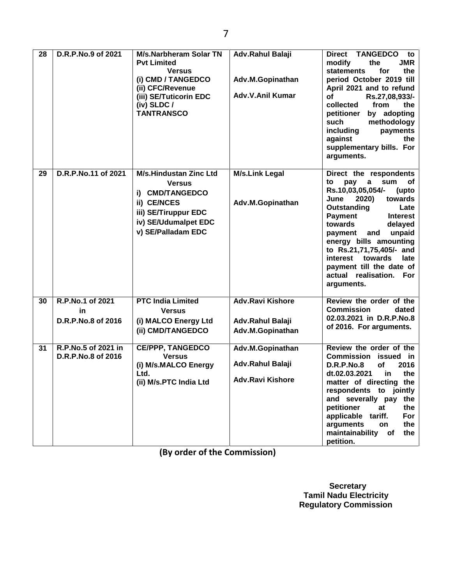| 28 | D.R.P.No.9 of 2021                           | <b>M/s.Narbheram Solar TN</b><br><b>Pvt Limited</b><br><b>Versus</b><br>(i) CMD / TANGEDCO<br>(ii) CFC/Revenue<br>(iii) SE/Tuticorin EDC<br>$(iv)$ SLDC /<br><b>TANTRANSCO</b> | Adv.Rahul Balaji<br>Adv.M.Gopinathan<br>Adv.V.Anil Kumar        | <b>TANGEDCO</b><br><b>Direct</b><br>to<br><b>JMR</b><br>modify<br>the<br>statements<br>for<br>the<br>period October 2019 till<br>April 2021 and to refund<br><b>of</b><br>Rs.27,08,933/-<br>collected<br>from<br>the<br>petitioner<br>by adopting<br>methodology<br>such<br>including<br>payments<br>against<br>the<br>supplementary bills. For<br>arguments.                    |
|----|----------------------------------------------|--------------------------------------------------------------------------------------------------------------------------------------------------------------------------------|-----------------------------------------------------------------|----------------------------------------------------------------------------------------------------------------------------------------------------------------------------------------------------------------------------------------------------------------------------------------------------------------------------------------------------------------------------------|
| 29 | D.R.P.No.11 of 2021                          | <b>M/s.Hindustan Zinc Ltd</b><br><b>Versus</b><br>i) CMD/TANGEDCO<br>ii) CE/NCES<br>iii) SE/Tiruppur EDC<br>iv) SE/Udumalpet EDC<br>v) SE/Palladam EDC                         | <b>M/s.Link Legal</b><br>Adv.M.Gopinathan                       | Direct the respondents<br>to<br>pay<br>a<br>sum<br>оf<br>Rs.10,03,05,054/-<br>(upto<br>2020)<br>towards<br>June<br>Outstanding<br>Late<br>Payment<br><b>Interest</b><br>towards<br>delayed<br>unpaid<br>payment<br>and<br>energy bills amounting<br>to Rs.21,71,75,405/- and<br>interest<br>towards<br>late<br>payment till the date of<br>actual realisation. For<br>arguments. |
| 30 | R.P.No.1 of 2021<br>in<br>D.R.P.No.8 of 2016 | <b>PTC India Limited</b><br><b>Versus</b><br>(i) MALCO Energy Ltd<br>(ii) CMD/TANGEDCO                                                                                         | <b>Adv.Ravi Kishore</b><br>Adv.Rahul Balaji<br>Adv.M.Gopinathan | Review the order of the<br><b>Commission</b><br>dated<br>02.03.2021 in D.R.P.No.8<br>of 2016. For arguments.                                                                                                                                                                                                                                                                     |
| 31 | R.P.No.5 of 2021 in<br>D.R.P.No.8 of 2016    | <b>CE/PPP, TANGEDCO</b><br><b>Versus</b><br>(i) M/s.MALCO Energy<br>Ltd.<br>(ii) M/s.PTC India Ltd                                                                             | Adv.M.Gopinathan<br>Adv.Rahul Balaji<br><b>Adv.Ravi Kishore</b> | Review the order of the<br>Commission<br>issued in<br><b>D.R.P.No.8</b><br><b>of</b><br>2016<br>dt.02.03.2021<br>the<br>in<br>matter of directing the<br>respondents to jointly<br>and severally pay the<br>petitioner<br>at<br>the<br>applicable tariff.<br>For<br>arguments<br>the<br>on<br>maintainability<br>the<br>of<br>petition.                                          |

**(By order of the Commission)**

 **Secretary Tamil Nadu Electricity Regulatory Commission**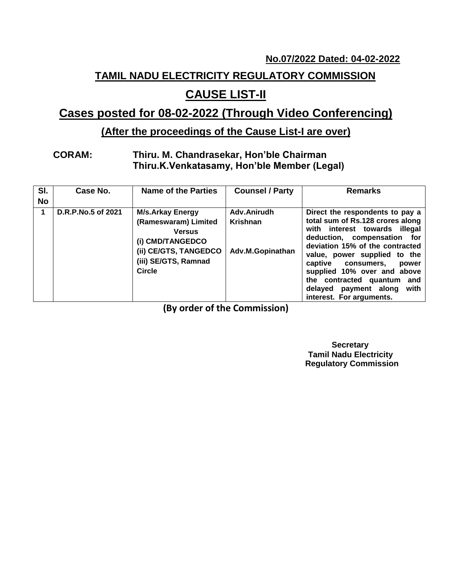#### **No.07/2022 Dated: 04-02-2022**

# **TAMIL NADU ELECTRICITY REGULATORY COMMISSION**

# **CAUSE LIST-II**

## **Cases posted for 08-02-2022 (Through Video Conferencing)**

## **(After the proceedings of the Cause List-I are over)**

#### **CORAM: Thiru. M. Chandrasekar, Hon'ble Chairman Thiru.K.Venkatasamy, Hon'ble Member (Legal)**

| SI.<br><b>No</b> | Case No.           | <b>Name of the Parties</b>                                                                                                                             | <b>Counsel / Party</b>                      | <b>Remarks</b>                                                                                                                                                                                                                                                                                                                                                     |
|------------------|--------------------|--------------------------------------------------------------------------------------------------------------------------------------------------------|---------------------------------------------|--------------------------------------------------------------------------------------------------------------------------------------------------------------------------------------------------------------------------------------------------------------------------------------------------------------------------------------------------------------------|
| 1                | D.R.P.No.5 of 2021 | <b>M/s.Arkay Energy</b><br>(Rameswaram) Limited<br><b>Versus</b><br>(i) CMD/TANGEDCO<br>(ii) CE/GTS, TANGEDCO<br>(iii) SE/GTS, Ramnad<br><b>Circle</b> | Adv.Anirudh<br>Krishnan<br>Adv.M.Gopinathan | Direct the respondents to pay a<br>total sum of Rs.128 crores along<br>with interest towards illegal<br>deduction, compensation for<br>deviation 15% of the contracted<br>value, power supplied to the<br>captive consumers,<br>power<br>supplied 10% over and above<br>the contracted quantum<br>and<br>with<br>delayed payment along<br>interest. For arguments. |

**(By order of the Commission)**

 **Secretary Tamil Nadu Electricity Regulatory Commission**